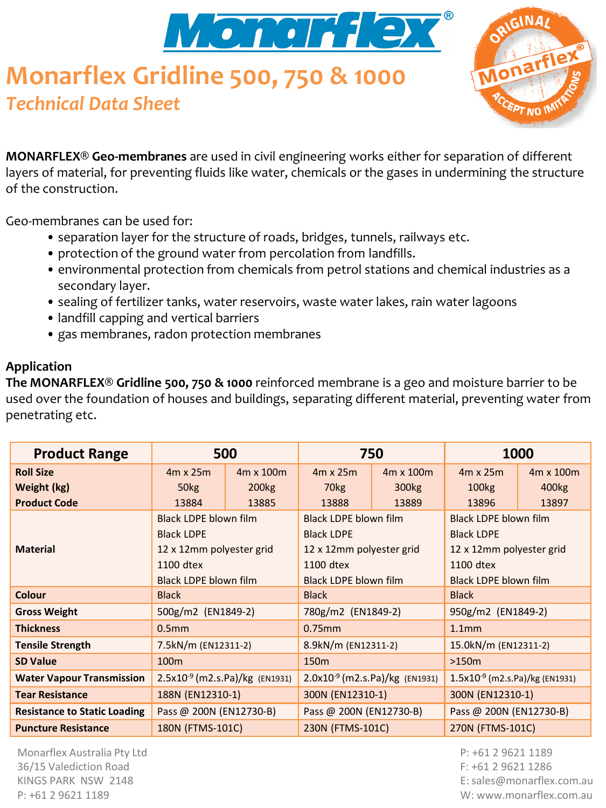

# **Monarflex Gridline 500, 750 & 1000** *Technical Data Sheet*



**MONARFLEX® Geo-membranes** are used in civil engineering works either for separation of different layers of material, for preventing fluids like water, chemicals or the gases in undermining the structure of the construction.

Geo-membranes can be used for:

- separation layer for the structure of roads, bridges, tunnels, railways etc.
- protection of the ground water from percolation from landfills.
- environmental protection from chemicals from petrol stations and chemical industries as a secondary layer.
- sealing of fertilizer tanks, water reservoirs, waste water lakes, rain water lagoons
- landfill capping and vertical barriers
- gas membranes, radon protection membranes

#### **Application**

**The MONARFLEX® Gridline 500, 750 & 1000** reinforced membrane is a geo and moisture barrier to be used over the foundation of houses and buildings, separating different material, preventing water from penetrating etc.

| <b>Product Range</b>                | 500                                 |                   | 750                                 |                   | 1000                                |                   |
|-------------------------------------|-------------------------------------|-------------------|-------------------------------------|-------------------|-------------------------------------|-------------------|
| <b>Roll Size</b>                    | $4m \times 25m$                     | 4m x 100m         | $4m \times 25m$                     | 4m x 100m         | $4m \times 25m$                     | 4m x 100m         |
| Weight (kg)                         | 50 <sub>kg</sub>                    | 200 <sub>kg</sub> | 70 <sub>kg</sub>                    | 300 <sub>kg</sub> | 100 <sub>kg</sub>                   | 400 <sub>kg</sub> |
| <b>Product Code</b>                 | 13884                               | 13885             | 13888                               | 13889             | 13896                               | 13897             |
|                                     | Black LDPE blown film               |                   | Black LDPE blown film               |                   | Black LDPE blown film               |                   |
|                                     | <b>Black LDPE</b>                   |                   | <b>Black LDPE</b>                   |                   | <b>Black LDPE</b>                   |                   |
| <b>Material</b>                     | 12 x 12mm polyester grid            |                   | 12 x 12mm polyester grid            |                   | 12 x 12mm polyester grid            |                   |
|                                     | 1100 dtex                           |                   | 1100 dtex                           |                   | 1100 dtex                           |                   |
|                                     | Black LDPE blown film               |                   | Black LDPE blown film               |                   | Black LDPE blown film               |                   |
| Colour                              | <b>Black</b>                        |                   | <b>Black</b>                        |                   | <b>Black</b>                        |                   |
| <b>Gross Weight</b>                 | 500g/m2 (EN1849-2)                  |                   | 780g/m2 (EN1849-2)                  |                   | 950g/m2 (EN1849-2)                  |                   |
| <b>Thickness</b>                    | 0.5 <sub>mm</sub>                   |                   | $0.75$ mm                           |                   | 1.1 <sub>mm</sub>                   |                   |
| <b>Tensile Strength</b>             | 7.5kN/m (EN12311-2)                 |                   | 8.9kN/m (EN12311-2)                 |                   | 15.0kN/m (EN12311-2)                |                   |
| <b>SD Value</b>                     | 100 <sub>m</sub>                    |                   | 150 <sub>m</sub>                    |                   | $>150m$                             |                   |
| <b>Water Vapour Transmission</b>    | $2.5x10^{-9}$ (m2.s.Pa)/kg (EN1931) |                   | $2.0x10^{-9}$ (m2.s.Pa)/kg (EN1931) |                   | $1.5x10^{-9}$ (m2.s.Pa)/kg (EN1931) |                   |
| <b>Tear Resistance</b>              | 188N (EN12310-1)                    |                   | 300N (EN12310-1)                    |                   | 300N (EN12310-1)                    |                   |
| <b>Resistance to Static Loading</b> | Pass @ 200N (EN12730-B)             |                   | Pass @ 200N (EN12730-B)             |                   | Pass @ 200N (EN12730-B)             |                   |
| <b>Puncture Resistance</b>          | 180N (FTMS-101C)                    |                   | 230N (FTMS-101C)                    |                   | 270N (FTMS-101C)                    |                   |

Monarflex Australia Pty Ltd 36/15 Valediction Road KINGS PARK NSW 2148 P: +61 2 9621 1189

P: +61 2 9621 1189 F: +61 2 9621 1286 E: sales@monarflex.com.au W: www.monarflex.com.au